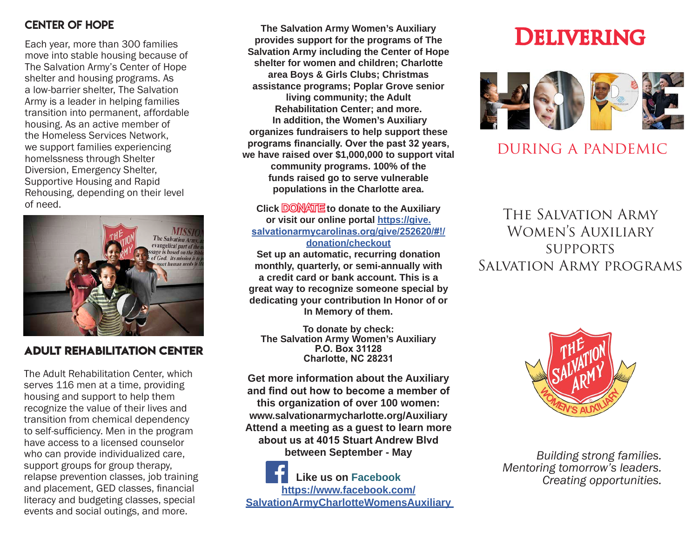#### CENTER of Hope

Each year, more than 300 families move into stable housing because of The Salvation Army's Center of Hope shelter and housing programs. As a low-barrier shelter, The Salvation Army is a leader in helping families transition into permanent, affordable housing. As an active member of the Homeless Services Network, we support families experiencing homelssness through Shelter Diversion, Emergency Shelter, Supportive Housing and Rapid Rehousing, depending on their level of need.



### **Adult Rehabilitation Center**

The Adult Rehabilitation Center, which serves 116 men at a time, providing housing and support to help them recognize the value of their lives and transition from chemical dependency to self-sufficiency. Men in the program have access to a licensed counselor who can provide individualized care, support groups for group therapy, relapse prevention classes, job training and placement, GED classes, financial literacy and budgeting classes, special events and social outings, and more.

**The Salvation Army Women's Auxiliary provides support for the programs of The Salvation Army including the Center of Hope shelter for women and children; Charlotte area Boys & Girls Clubs; Christmas assistance programs; Poplar Grove senior living community; the Adult Rehabilitation Center; and more. In addition, the Women's Auxiliary organizes fundraisers to help support these programs financially. Over the past 32 years, we have raised over \$1,000,000 to support vital community programs. 100% of the funds raised go to serve vulnerable populations in the Charlotte area.** 

**Click DONATE** to donate to the Auxiliary **or visit our online portal https://give. salvationarmycarolinas.org/give/252620/#!/ donation/checkout Set up an automatic, recurring donation monthly, quarterly, or semi-annually with a credit card or bank account. This is a great way to recognize someone special by dedicating your contribution In Honor of or In Memory of them.**

**To donate by check: The Salvation Army Women's Auxiliary P.O. Box 31128 Charlotte, NC 28231**

**Get more information about the Auxiliary and find out how to become a member of this organization of over 100 women: www.salvationarmycharlotte.org/Auxiliary Attend a meeting as a guest to learn more about us at 4015 Stuart Andrew Blvd between September - May**

**Like us on Facebook https://www.facebook.com/ SalvationArmyCharlotteWomensAuxiliary** 

# **DELIVERING**



# during a pandemic

The Salvation Army Women's Auxiliary **SUPPORTS** Salvation Army programs



*Building strong families. Mentoring tomorrow's leaders. Creating opportunities.*